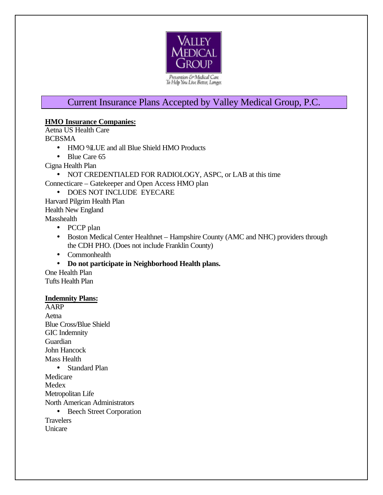

# Current Insurance Plans Accepted by Valley Medical Group, P.C.

## **HMO Insurance Companies:**

Aetna US Health Care BCBSMA

- HMO DLUE and all Blue Shield HMO Products
- Blue Care 65

Cigna Health Plan

- NOT CREDENTIALED FOR RADIOLOGY, ASPC, or LAB at this time
- Connecticare Gatekeeper and Open Access HMO plan
	- DOES NOT INCLUDE EYECARE

Harvard Pilgrim Health Plan Health New England Masshealth

- PCCP plan
- Boston Medical Center Healthnet Hampshire County (AMC and NHC) providers through the CDH PHO. (Does not include Franklin County)
- Commonhealth
- **Do not participate in Neighborhood Health plans.**

One Health Plan Tufts Health Plan

## **Indemnity Plans:**

AARP Aetna Blue Cross/Blue Shield GIC Indemnity Guardian John Hancock Mass Health • Standard Plan Medicare Medex Metropolitan Life North American Administrators • Beech Street Corporation

**Travelers** Unicare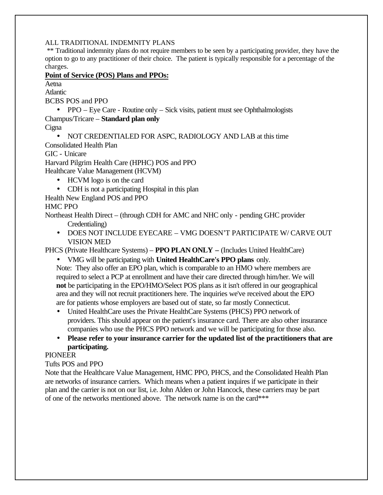#### ALL TRADITIONAL INDEMNITY PLANS

 \*\* Traditional indemnity plans do not require members to be seen by a participating provider, they have the option to go to any practitioner of their choice. The patient is typically responsible for a percentage of the charges.

#### **Point of Service (POS) Plans and PPOs:**

Aetna Atlantic

BCBS POS and PPO

• PPO – Eye Care - Routine only – Sick visits, patient must see Ophthalmologists Champus/Tricare – **Standard plan only**

**Cigna** 

• NOT CREDENTIALED FOR ASPC, RADIOLOGY AND LAB at this time

Consolidated Health Plan

GIC - Unicare

Harvard Pilgrim Health Care (HPHC) POS and PPO Healthcare Value Management (HCVM)

- HCVM logo is on the card
- CDH is not a participating Hospital in this plan

Health New England POS and PPO

## HMC PPO

Northeast Health Direct – (through CDH for AMC and NHC only - pending GHC provider Credentialing)

• DOES NOT INCLUDE EYECARE – VMG DOESN'T PARTICIPATE W/ CARVE OUT VISION MED

PHCS (Private Healthcare Systems) – **PPO PLAN ONLY –** (Includes United HealthCare)

• VMG will be participating with **United HealthCare's PPO plans** only.

Note: They also offer an EPO plan, which is comparable to an HMO where members are required to select a PCP at enrollment and have their care directed through him/her. We will **not** be participating in the EPO/HMO/Select POS plans as it isn't offered in our geographical area and they will not recruit practitioners here. The inquiries we've received about the EPO are for patients whose employers are based out of state, so far mostly Connecticut.

- United HealthCare uses the Private HealthCare Systems (PHCS) PPO network of providers. This should appear on the patient's insurance card. There are also other insurance companies who use the PHCS PPO network and we will be participating for those also.
- **Please refer to your insurance carrier for the updated list of the practitioners that are participating.**

## PIONEER

## Tufts POS and PPO

Note that the Healthcare Value Management, HMC PPO, PHCS, and the Consolidated Health Plan are networks of insurance carriers. Which means when a patient inquires if we participate in their plan and the carrier is not on our list, i.e. John Alden or John Hancock, these carriers may be part of one of the networks mentioned above. The network name is on the card\*\*\*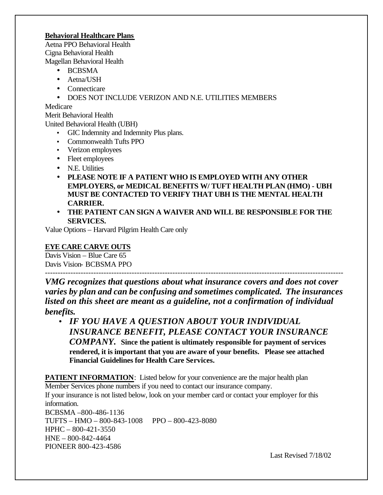#### **Behavioral Healthcare Plans**

Aetna PPO Behavioral Health Cigna Behavioral Health Magellan Behavioral Health

- BCBSMA
- Aetna/USH
- Connecticare
- DOES NOT INCLUDE VERIZON AND N.E. UTILITIES MEMBERS

Medicare

Merit Behavioral Health

United Behavioral Health (UBH)

- GIC Indemnity and Indemnity Plus plans.
- Commonwealth Tufts PPO
- Verizon employees
- Fleet employees
- N.E. Utilities
- **PLEASE NOTE IF A PATIENT WHO IS EMPLOYED WITH ANY OTHER EMPLOYERS, or MEDICAL BENEFITS W/ TUFT HEALTH PLAN (HMO) - UBH MUST BE CONTACTED TO VERIFY THAT UBH IS THE MENTAL HEALTH CARRIER.**
- **THE PATIENT CAN SIGN A WAIVER AND WILL BE RESPONSIBLE FOR THE SERVICES.**

Value Options – Harvard Pilgrim Health Care only

# **EYE CARE CARVE OUTS**

Davis Vision – Blue Care 65 Davis Vision- BCBSMA PPO

--------------------------------------------------------------------------------------------------------------------- *VMG recognizes that questions about what insurance covers and does not cover varies by plan and can be confusing and sometimes complicated. The insurances listed on this sheet are meant as a guideline, not a confirmation of individual benefits.*

• *IF YOU HAVE A QUESTION ABOUT YOUR INDIVIDUAL INSURANCE BENEFIT, PLEASE CONTACT YOUR INSURANCE COMPANY.* **Since the patient is ultimately responsible for payment of services rendered, it is important that you are aware of your benefits. Please see attached Financial Guidelines for Health Care Services.**

**PATIENT INFORMATION:** Listed below for your convenience are the major health plan Member Services phone numbers if you need to contact our insurance company.

If your insurance is not listed below, look on your member card or contact your employer for this information. BCBSMA –800-486-1136 TUFTS – HMO – 800-843-1008 PPO – 800-423-8080 HPHC – 800-421-3550 HNE – 800-842-4464 PIONEER 800-423-4586

Last Revised 7/18/02